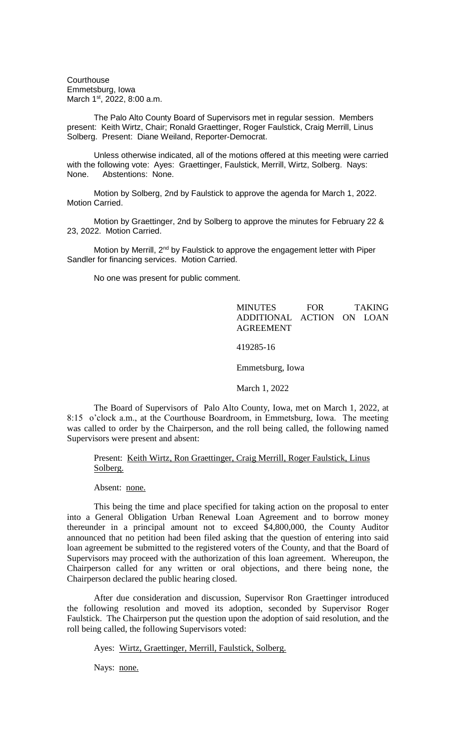**Courthouse** Emmetsburg, Iowa March 1<sup>st</sup>, 2022, 8:00 a.m.

The Palo Alto County Board of Supervisors met in regular session. Members present: Keith Wirtz, Chair; Ronald Graettinger, Roger Faulstick, Craig Merrill, Linus Solberg. Present: Diane Weiland, Reporter-Democrat.

Unless otherwise indicated, all of the motions offered at this meeting were carried with the following vote: Ayes: Graettinger, Faulstick, Merrill, Wirtz, Solberg. Nays: None. Abstentions: None.

Motion by Solberg, 2nd by Faulstick to approve the agenda for March 1, 2022. Motion Carried.

Motion by Graettinger, 2nd by Solberg to approve the minutes for February 22 & 23, 2022. Motion Carried.

Motion by Merrill, 2<sup>nd</sup> by Faulstick to approve the engagement letter with Piper Sandler for financing services. Motion Carried.

No one was present for public comment.

## MINUTES FOR TAKING ADDITIONAL ACTION ON LOAN AGREEMENT

419285-16

Emmetsburg, Iowa

March 1, 2022

The Board of Supervisors of Palo Alto County, Iowa, met on March 1, 2022, at 8:15 o'clock a.m., at the Courthouse Boardroom, in Emmetsburg, Iowa. The meeting was called to order by the Chairperson, and the roll being called, the following named Supervisors were present and absent:

## Present: Keith Wirtz, Ron Graettinger, Craig Merrill, Roger Faulstick, Linus Solberg.

Absent: none.

This being the time and place specified for taking action on the proposal to enter into a General Obligation Urban Renewal Loan Agreement and to borrow money thereunder in a principal amount not to exceed \$4,800,000, the County Auditor announced that no petition had been filed asking that the question of entering into said loan agreement be submitted to the registered voters of the County, and that the Board of Supervisors may proceed with the authorization of this loan agreement. Whereupon, the Chairperson called for any written or oral objections, and there being none, the Chairperson declared the public hearing closed.

After due consideration and discussion, Supervisor Ron Graettinger introduced the following resolution and moved its adoption, seconded by Supervisor Roger Faulstick. The Chairperson put the question upon the adoption of said resolution, and the roll being called, the following Supervisors voted:

Ayes: Wirtz, Graettinger, Merrill, Faulstick, Solberg.

Nays: none.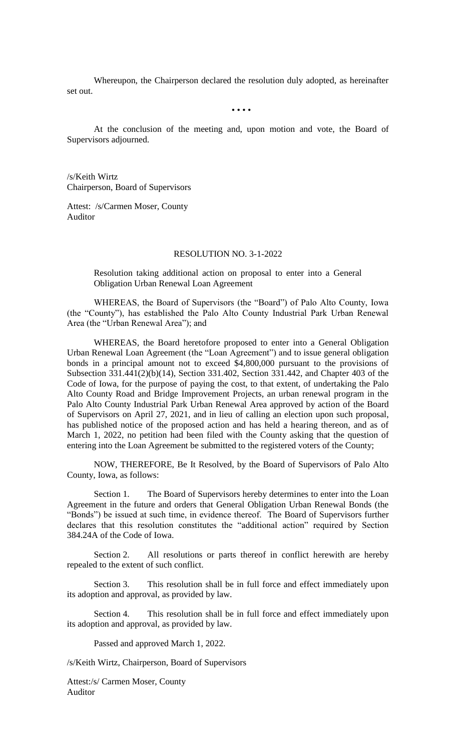Whereupon, the Chairperson declared the resolution duly adopted, as hereinafter set out.

• • • •

At the conclusion of the meeting and, upon motion and vote, the Board of Supervisors adjourned.

/s/Keith Wirtz Chairperson, Board of Supervisors

Attest: /s/Carmen Moser, County Auditor

## RESOLUTION NO. 3-1-2022

Resolution taking additional action on proposal to enter into a General Obligation Urban Renewal Loan Agreement

WHEREAS, the Board of Supervisors (the "Board") of Palo Alto County, Iowa (the "County"), has established the Palo Alto County Industrial Park Urban Renewal Area (the "Urban Renewal Area"); and

WHEREAS, the Board heretofore proposed to enter into a General Obligation Urban Renewal Loan Agreement (the "Loan Agreement") and to issue general obligation bonds in a principal amount not to exceed \$4,800,000 pursuant to the provisions of Subsection 331.441(2)(b)(14), Section 331.402, Section 331.442, and Chapter 403 of the Code of Iowa, for the purpose of paying the cost, to that extent, of undertaking the Palo Alto County Road and Bridge Improvement Projects, an urban renewal program in the Palo Alto County Industrial Park Urban Renewal Area approved by action of the Board of Supervisors on April 27, 2021, and in lieu of calling an election upon such proposal, has published notice of the proposed action and has held a hearing thereon, and as of March 1, 2022, no petition had been filed with the County asking that the question of entering into the Loan Agreement be submitted to the registered voters of the County;

NOW, THEREFORE, Be It Resolved, by the Board of Supervisors of Palo Alto County, Iowa, as follows:

Section 1. The Board of Supervisors hereby determines to enter into the Loan Agreement in the future and orders that General Obligation Urban Renewal Bonds (the "Bonds") be issued at such time, in evidence thereof. The Board of Supervisors further declares that this resolution constitutes the "additional action" required by Section 384.24A of the Code of Iowa.

Section 2. All resolutions or parts thereof in conflict herewith are hereby repealed to the extent of such conflict.

Section 3. This resolution shall be in full force and effect immediately upon its adoption and approval, as provided by law.

Section 4. This resolution shall be in full force and effect immediately upon its adoption and approval, as provided by law.

Passed and approved March 1, 2022.

/s/Keith Wirtz, Chairperson, Board of Supervisors

Attest:/s/ Carmen Moser, County Auditor